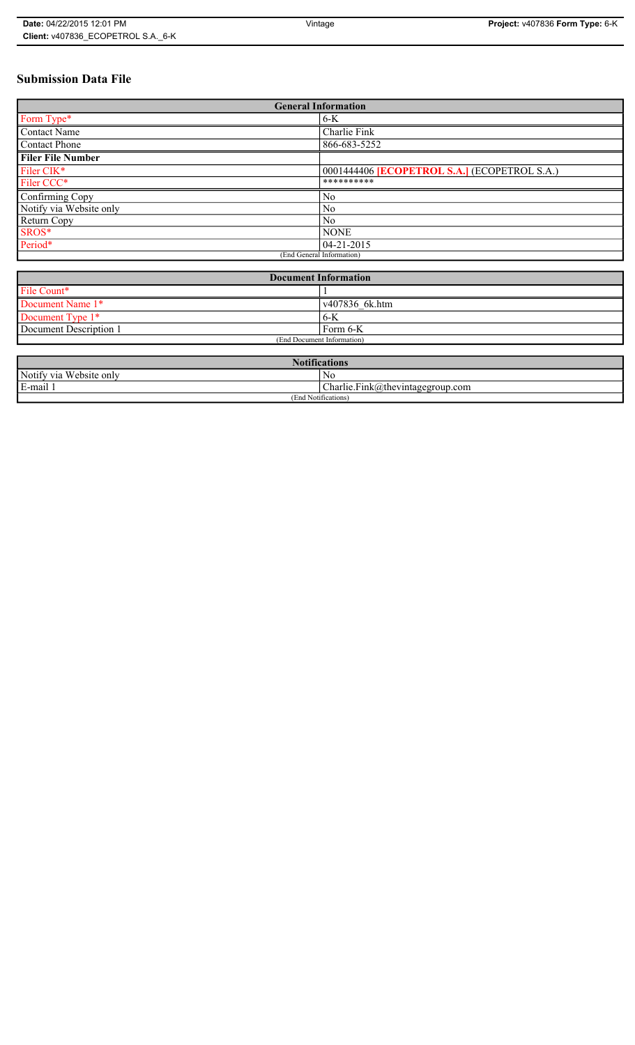# **Submission Data File**

| <b>General Information</b> |                                                   |
|----------------------------|---------------------------------------------------|
| Form Type*                 | $6-K$                                             |
| <b>Contact Name</b>        | Charlie Fink                                      |
| <b>Contact Phone</b>       | 866-683-5252                                      |
| <b>Filer File Number</b>   |                                                   |
| Filer CIK*                 | 0001444406 <b>ECOPETROL S.A.</b> (ECOPETROL S.A.) |
| Filer CCC*                 | **********                                        |
| Confirming Copy            | No                                                |
| Notify via Website only    | No                                                |
| Return Copy                | N <sub>0</sub>                                    |
| SROS*                      | <b>NONE</b>                                       |
| Period*                    | 04-21-2015                                        |
| (End General Information)  |                                                   |

| <b>Document Information</b> |                |
|-----------------------------|----------------|
| File Count*                 |                |
| Document Name 1*            | v407836 6k.htm |
| Document Type 1*            | 6-K            |
| Document Description 1      | Form 6-K       |
| (End Document Information)  |                |

| $\mathbf{M}$ $\mathbf{M}$<br><b>Notifications</b> |                                                                 |  |
|---------------------------------------------------|-----------------------------------------------------------------|--|
| Notify via<br>I Website only                      | N0                                                              |  |
| E-mail<br>$\blacksquare$                          | $\mathbf{r}$<br>$\sim$<br>$Charlie.Fink(a)$ thevintagegroup.com |  |
| (End Notifications)                               |                                                                 |  |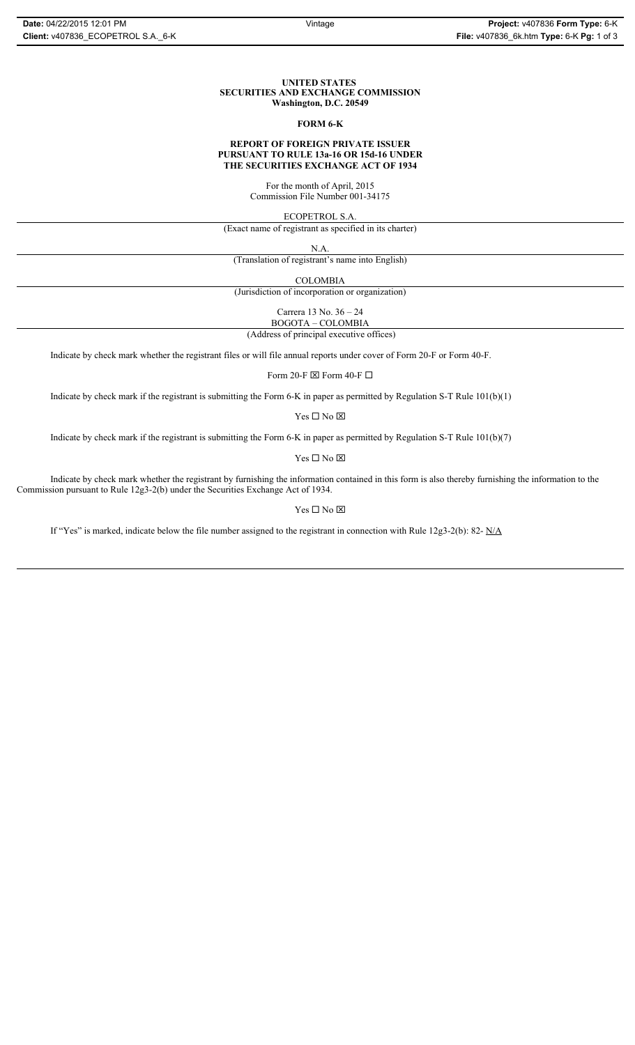#### **UNITED STATES SECURITIES AND EXCHANGE COMMISSION Washington, D.C. 20549**

#### **FORM 6-K**

#### **REPORT OF FOREIGN PRIVATE ISSUER PURSUANT TO RULE 13a-16 OR 15d-16 UNDER THE SECURITIES EXCHANGE ACT OF 1934**

For the month of April, 2015 Commission File Number 001-34175

ECOPETROL S.A.

(Exact name of registrant as specified in its charter)

N.A.

(Translation of registrant's name into English)

COLOMBIA

(Jurisdiction of incorporation or organization)

Carrera 13 No. 36 – 24

 (Address of principal executive offices) BOGOTA – COLOMBIA

Indicate by check mark whether the registrant files or will file annual reports under cover of Form 20-F or Form 40-F.

Form 20-F  $\boxtimes$  Form 40-F  $\Box$ 

Indicate by check mark if the registrant is submitting the Form 6-K in paper as permitted by Regulation S-T Rule 101(b)(1)

 $\mathbf{Y}\mathbf{es} \ \Box \ \mathbf{No} \ \boxtimes$ 

Indicate by check mark if the registrant is submitting the Form 6-K in paper as permitted by Regulation S-T Rule 101(b)(7)

Yes $\Box$  No  $\boxtimes$ 

Indicate by check mark whether the registrant by furnishing the information contained in this form is also thereby furnishing the information to the Commission pursuant to Rule 12g3-2(b) under the Securities Exchange Act of 1934.

Yes  $\Box$  No  $\boxtimes$ 

If "Yes" is marked, indicate below the file number assigned to the registrant in connection with Rule 12g3-2(b): 82- N/A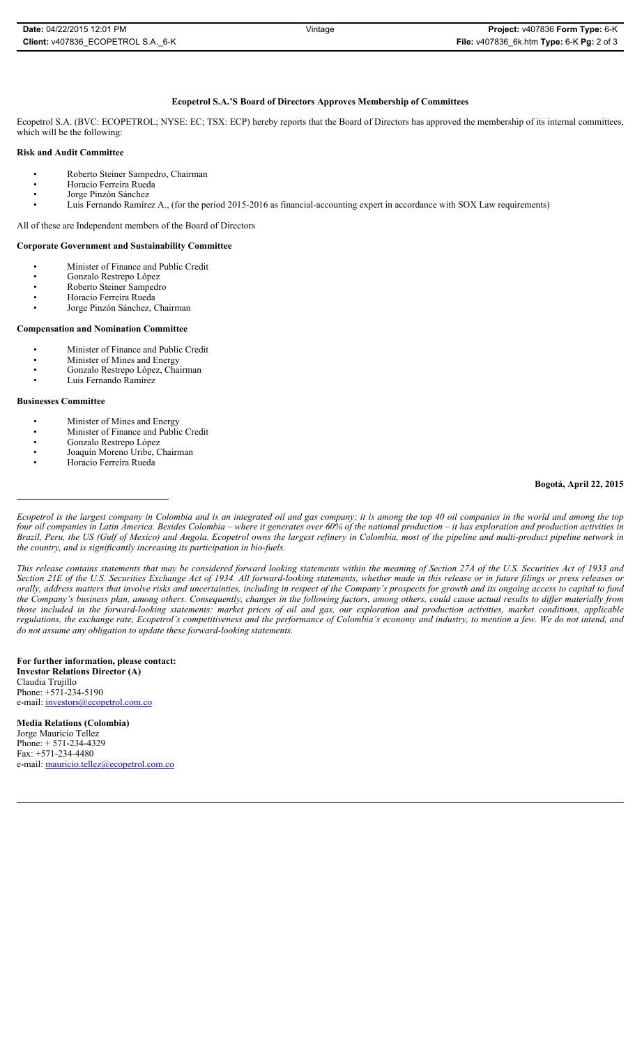## **Ecopetrol S.A.'S Board of Directors Approves Membership of Committees**

Ecopetrol S.A. (BVC: ECOPETROL; NYSE: EC; TSX: ECP) hereby reports that the Board of Directors has approved the membership of its internal committees, which will be the following:

## **Risk and Audit Committee**

- Roberto Steiner Sampedro, Chairman
- Horacio Ferreira Rueda
- Jorge Pinzón Sánchez
- Luis Fernando Ramírez A., (for the period 2015-2016 as financial-accounting expert in accordance with SOX Law requirements)

All of these are Independent members of the Board of Directors

#### **Corporate Government and Sustainability Committee**

- Minister of Finance and Public Credit
- Gonzalo Restrepo López
- Roberto Steiner Sampedro
- Horacio Ferreira Rueda
- Jorge Pinzón Sánchez, Chairman

#### **Compensation and Nomination Committee**

- Minister of Finance and Public Credit
- Minister of Mines and Energy
- Gonzalo Restrepo López, Chairman
- Luis Fernando Ramírez

# **Businesses Committee**

- Minister of Mines and Energy
- Minister of Finance and Public Credit
- Gonzalo Restrepo López
- Joaquín Moreno Uribe, Chairman • Horacio Ferreira Rueda

## **Bogotá, April 22, 2015**

*Ecopetrol is the largest company in Colombia and is an integrated oil and gas company; it is among the top 40 oil companies in the world and among the top four oil companies in Latin America. Besides Colombia – where it generates over 60% of the national production – it has exploration and production activities in Brazil, Peru, the US (Gulf of Mexico) and Angola. Ecopetrol owns the largest refinery in Colombia, most of the pipeline and multi-product pipeline network in the country, and is significantly increasing its participation in bio-fuels.* 

*This release contains statements that may be considered forward looking statements within the meaning of Section 27A of the U.S. Securities Act of 1933 and Section 21E of the U.S. Securities Exchange Act of 1934. All forward-looking statements, whether made in this release or in future filings or press releases or orally, address matters that involve risks and uncertainties, including in respect of the Company's prospects for growth and its ongoing access to capital to fund the Company's business plan, among others. Consequently, changes in the following factors, among others, could cause actual results to differ materially from those included in the forward-looking statements: market prices of oil and gas, our exploration and production activities, market conditions, applicable regulations, the exchange rate, Ecopetrol's competitiveness and the performance of Colombia's economy and industry, to mention a few. We do not intend, and do not assume any obligation to update these forward-looking statements.*

**For further information, please contact: Investor Relations Director (A)**

Claudia Trujillo Phone: +571-234-5190 e-mail: investors@ecopetrol.com.co

**Media Relations (Colombia)** Jorge Mauricio Tellez Phone: + 571-234-4329 Fax: +571-234-4480 e-mail: mauricio.tellez@ecopetrol.com.co